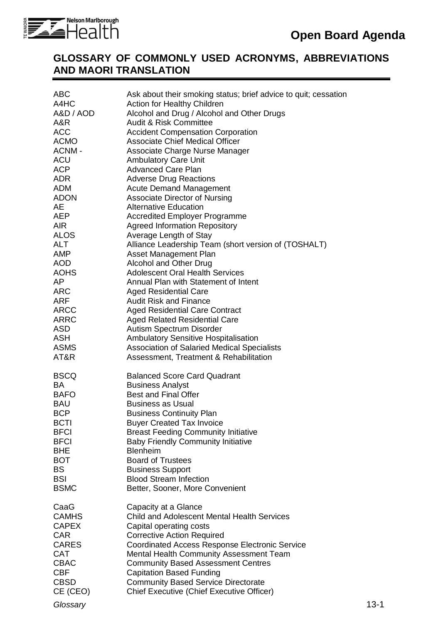

### **GLOSSARY OF COMMONLY USED ACRONYMS, ABBREVIATIONS AND MAORI TRANSLATION**

| <b>ABC</b><br>A4HC<br>A&D / AOD<br>A&R<br><b>ACC</b><br><b>ACMO</b><br>ACNM-<br><b>ACU</b><br>ACP<br>ADR<br>ADM<br>ADON<br>AE<br>AEP<br><b>AIR</b><br>ALOS<br><b>ALT</b><br>AMP<br><b>AOD</b><br><b>AOHS</b><br>AP<br><b>ARC</b><br><b>ARF</b><br><b>ARCC</b><br><b>ARRC</b><br><b>ASD</b><br><b>ASH</b><br>ASMS<br>AT&R | Ask about their smoking status; brief advice to quit; cessation<br>Action for Healthy Children<br>Alcohol and Drug / Alcohol and Other Drugs<br><b>Audit &amp; Risk Committee</b><br><b>Accident Compensation Corporation</b><br><b>Associate Chief Medical Officer</b><br>Associate Charge Nurse Manager<br><b>Ambulatory Care Unit</b><br><b>Advanced Care Plan</b><br><b>Adverse Drug Reactions</b><br><b>Acute Demand Management</b><br><b>Associate Director of Nursing</b><br><b>Alternative Education</b><br><b>Accredited Employer Programme</b><br><b>Agreed Information Repository</b><br>Average Length of Stay<br>Alliance Leadership Team (short version of (TOSHALT)<br><b>Asset Management Plan</b><br>Alcohol and Other Drug<br><b>Adolescent Oral Health Services</b><br>Annual Plan with Statement of Intent<br><b>Aged Residential Care</b><br><b>Audit Risk and Finance</b><br><b>Aged Residential Care Contract</b><br><b>Aged Related Residential Care</b><br>Autism Spectrum Disorder<br><b>Ambulatory Sensitive Hospitalisation</b><br><b>Association of Salaried Medical Specialists</b><br>Assessment, Treatment & Rehabilitation |          |
|--------------------------------------------------------------------------------------------------------------------------------------------------------------------------------------------------------------------------------------------------------------------------------------------------------------------------|-------------------------------------------------------------------------------------------------------------------------------------------------------------------------------------------------------------------------------------------------------------------------------------------------------------------------------------------------------------------------------------------------------------------------------------------------------------------------------------------------------------------------------------------------------------------------------------------------------------------------------------------------------------------------------------------------------------------------------------------------------------------------------------------------------------------------------------------------------------------------------------------------------------------------------------------------------------------------------------------------------------------------------------------------------------------------------------------------------------------------------------------------------------|----------|
| <b>BSCQ</b><br><b>BA</b><br><b>BAFO</b><br><b>BAU</b><br><b>BCP</b><br><b>BCTI</b><br><b>BFCI</b><br><b>BFCI</b><br><b>BHE</b><br><b>BOT</b><br><b>BS</b><br><b>BSI</b><br><b>BSMC</b>                                                                                                                                   | <b>Balanced Score Card Quadrant</b><br><b>Business Analyst</b><br><b>Best and Final Offer</b><br><b>Business as Usual</b><br><b>Business Continuity Plan</b><br><b>Buyer Created Tax Invoice</b><br><b>Breast Feeding Community Initiative</b><br><b>Baby Friendly Community Initiative</b><br><b>Blenheim</b><br><b>Board of Trustees</b><br><b>Business Support</b><br><b>Blood Stream Infection</b><br>Better, Sooner, More Convenient                                                                                                                                                                                                                                                                                                                                                                                                                                                                                                                                                                                                                                                                                                                   |          |
| CaaG<br><b>CAMHS</b><br><b>CAPEX</b><br><b>CAR</b><br><b>CARES</b><br><b>CAT</b><br><b>CBAC</b><br><b>CBF</b><br><b>CBSD</b><br>CE (CEO)<br>Glossary                                                                                                                                                                     | Capacity at a Glance<br><b>Child and Adolescent Mental Health Services</b><br>Capital operating costs<br><b>Corrective Action Required</b><br><b>Coordinated Access Response Electronic Service</b><br><b>Mental Health Community Assessment Team</b><br><b>Community Based Assessment Centres</b><br><b>Capitation Based Funding</b><br><b>Community Based Service Directorate</b><br><b>Chief Executive (Chief Executive Officer)</b>                                                                                                                                                                                                                                                                                                                                                                                                                                                                                                                                                                                                                                                                                                                     | $13 - 1$ |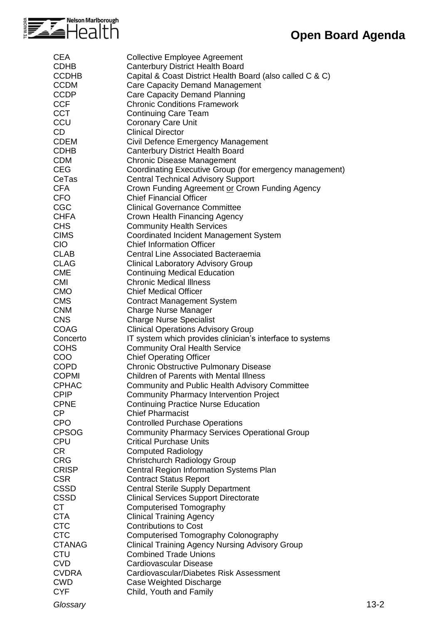

| <b>CEA</b>    | <b>Collective Employee Agreement</b>                      |          |
|---------------|-----------------------------------------------------------|----------|
| <b>CDHB</b>   | <b>Canterbury District Health Board</b>                   |          |
| <b>CCDHB</b>  | Capital & Coast District Health Board (also called C & C) |          |
| <b>CCDM</b>   | Care Capacity Demand Management                           |          |
| <b>CCDP</b>   | Care Capacity Demand Planning                             |          |
| <b>CCF</b>    | <b>Chronic Conditions Framework</b>                       |          |
| <b>CCT</b>    |                                                           |          |
|               | <b>Continuing Care Team</b>                               |          |
| CCU           | <b>Coronary Care Unit</b>                                 |          |
| CD            | <b>Clinical Director</b>                                  |          |
| <b>CDEM</b>   | Civil Defence Emergency Management                        |          |
| <b>CDHB</b>   | <b>Canterbury District Health Board</b>                   |          |
| <b>CDM</b>    | <b>Chronic Disease Management</b>                         |          |
| <b>CEG</b>    | Coordinating Executive Group (for emergency management)   |          |
| CeTas         | <b>Central Technical Advisory Support</b>                 |          |
| <b>CFA</b>    | Crown Funding Agreement or Crown Funding Agency           |          |
| <b>CFO</b>    | <b>Chief Financial Officer</b>                            |          |
| <b>CGC</b>    | <b>Clinical Governance Committee</b>                      |          |
| <b>CHFA</b>   | Crown Health Financing Agency                             |          |
| <b>CHS</b>    | <b>Community Health Services</b>                          |          |
| <b>CIMS</b>   | Coordinated Incident Management System                    |          |
| <b>CIO</b>    | <b>Chief Information Officer</b>                          |          |
|               |                                                           |          |
| <b>CLAB</b>   | <b>Central Line Associated Bacteraemia</b>                |          |
| <b>CLAG</b>   | <b>Clinical Laboratory Advisory Group</b>                 |          |
| <b>CME</b>    | <b>Continuing Medical Education</b>                       |          |
| <b>CMI</b>    | <b>Chronic Medical Illness</b>                            |          |
| <b>CMO</b>    | <b>Chief Medical Officer</b>                              |          |
| <b>CMS</b>    | <b>Contract Management System</b>                         |          |
| <b>CNM</b>    | <b>Charge Nurse Manager</b>                               |          |
| <b>CNS</b>    | <b>Charge Nurse Specialist</b>                            |          |
| <b>COAG</b>   | <b>Clinical Operations Advisory Group</b>                 |          |
| Concerto      | IT system which provides clinician's interface to systems |          |
| <b>COHS</b>   | <b>Community Oral Health Service</b>                      |          |
| COO           | <b>Chief Operating Officer</b>                            |          |
| <b>COPD</b>   | <b>Chronic Obstructive Pulmonary Disease</b>              |          |
| <b>COPMI</b>  | <b>Children of Parents with Mental Illness</b>            |          |
| <b>CPHAC</b>  | <b>Community and Public Health Advisory Committee</b>     |          |
| <b>CPIP</b>   |                                                           |          |
|               | <b>Community Pharmacy Intervention Project</b>            |          |
| <b>CPNE</b>   | <b>Continuing Practice Nurse Education</b>                |          |
| <b>CP</b>     | <b>Chief Pharmacist</b>                                   |          |
| <b>CPO</b>    | <b>Controlled Purchase Operations</b>                     |          |
| <b>CPSOG</b>  | <b>Community Pharmacy Services Operational Group</b>      |          |
| <b>CPU</b>    | <b>Critical Purchase Units</b>                            |          |
| CR.           | <b>Computed Radiology</b>                                 |          |
| <b>CRG</b>    | Christchurch Radiology Group                              |          |
| <b>CRISP</b>  | Central Region Information Systems Plan                   |          |
| <b>CSR</b>    | <b>Contract Status Report</b>                             |          |
| <b>CSSD</b>   | <b>Central Sterile Supply Department</b>                  |          |
| <b>CSSD</b>   | <b>Clinical Services Support Directorate</b>              |          |
| <b>CT</b>     | Computerised Tomography                                   |          |
| <b>CTA</b>    | <b>Clinical Training Agency</b>                           |          |
| <b>CTC</b>    | <b>Contributions to Cost</b>                              |          |
|               |                                                           |          |
| <b>CTC</b>    | Computerised Tomography Colonography                      |          |
| <b>CTANAG</b> | <b>Clinical Training Agency Nursing Advisory Group</b>    |          |
| <b>CTU</b>    | <b>Combined Trade Unions</b>                              |          |
| <b>CVD</b>    | Cardiovascular Disease                                    |          |
| <b>CVDRA</b>  | Cardiovascular/Diabetes Risk Assessment                   |          |
| <b>CWD</b>    | Case Weighted Discharge                                   |          |
| <b>CYF</b>    | Child, Youth and Family                                   |          |
| Glossary      |                                                           | $13 - 2$ |
|               |                                                           |          |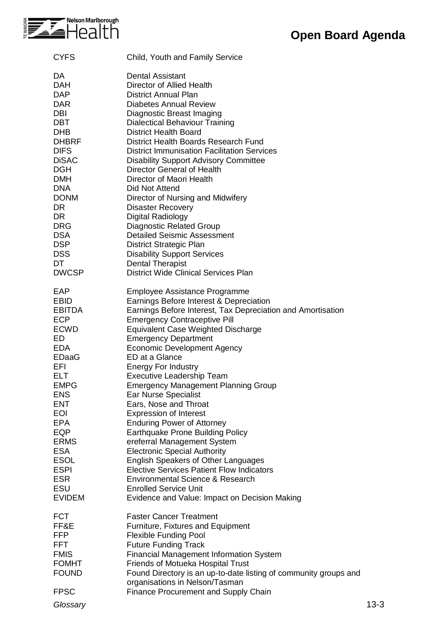

| <b>CYFS</b>                                                                                                                                                                                                                                                                                              | Child, Youth and Family Service                                                                                                                                                                                                                                                                                                                                                                                                                                                                                                                                                                                                                                                                                                                                                                                                                                                            |          |
|----------------------------------------------------------------------------------------------------------------------------------------------------------------------------------------------------------------------------------------------------------------------------------------------------------|--------------------------------------------------------------------------------------------------------------------------------------------------------------------------------------------------------------------------------------------------------------------------------------------------------------------------------------------------------------------------------------------------------------------------------------------------------------------------------------------------------------------------------------------------------------------------------------------------------------------------------------------------------------------------------------------------------------------------------------------------------------------------------------------------------------------------------------------------------------------------------------------|----------|
| DA<br><b>DAH</b><br><b>DAP</b><br><b>DAR</b><br><b>DBI</b><br><b>DBT</b><br><b>DHB</b><br><b>DHBRF</b><br><b>DIFS</b><br><b>DiSAC</b><br><b>DGH</b><br><b>DMH</b><br><b>DNA</b><br><b>DONM</b><br>DR.<br><b>DR</b><br><b>DRG</b><br><b>DSA</b><br><b>DSP</b><br><b>DSS</b><br>DT<br><b>DWCSP</b>         | <b>Dental Assistant</b><br>Director of Allied Health<br><b>District Annual Plan</b><br><b>Diabetes Annual Review</b><br>Diagnostic Breast Imaging<br><b>Dialectical Behaviour Training</b><br><b>District Health Board</b><br>District Health Boards Research Fund<br><b>District Immunisation Facilitation Services</b><br><b>Disability Support Advisory Committee</b><br>Director General of Health<br>Director of Maori Health<br>Did Not Attend<br>Director of Nursing and Midwifery<br><b>Disaster Recovery</b><br><b>Digital Radiology</b><br><b>Diagnostic Related Group</b><br><b>Detailed Seismic Assessment</b><br><b>District Strategic Plan</b><br><b>Disability Support Services</b><br><b>Dental Therapist</b><br><b>District Wide Clinical Services Plan</b>                                                                                                               |          |
| EAP<br><b>EBID</b><br><b>EBITDA</b><br><b>ECP</b><br><b>ECWD</b><br>ED<br><b>EDA</b><br><b>EDaaG</b><br>EFI<br><b>ELT</b><br><b>EMPG</b><br><b>ENS</b><br><b>ENT</b><br><b>EOI</b><br><b>EPA</b><br>EQP<br><b>ERMS</b><br><b>ESA</b><br><b>ESOL</b><br><b>ESPI</b><br><b>ESR</b><br>ESU<br><b>EVIDEM</b> | Employee Assistance Programme<br>Earnings Before Interest & Depreciation<br>Earnings Before Interest, Tax Depreciation and Amortisation<br><b>Emergency Contraceptive Pill</b><br>Equivalent Case Weighted Discharge<br><b>Emergency Department</b><br><b>Economic Development Agency</b><br>ED at a Glance<br><b>Energy For Industry</b><br><b>Executive Leadership Team</b><br><b>Emergency Management Planning Group</b><br><b>Ear Nurse Specialist</b><br>Ears, Nose and Throat<br><b>Expression of Interest</b><br><b>Enduring Power of Attorney</b><br>Earthquake Prone Building Policy<br>ereferral Management System<br><b>Electronic Special Authority</b><br><b>English Speakers of Other Languages</b><br><b>Elective Services Patient Flow Indicators</b><br>Environmental Science & Research<br><b>Enrolled Service Unit</b><br>Evidence and Value: Impact on Decision Making |          |
| <b>FCT</b><br>FF&E<br><b>FFP</b><br><b>FFT</b><br><b>FMIS</b><br><b>FOMHT</b><br><b>FOUND</b><br><b>FPSC</b><br>Glossary                                                                                                                                                                                 | <b>Faster Cancer Treatment</b><br>Furniture, Fixtures and Equipment<br><b>Flexible Funding Pool</b><br><b>Future Funding Track</b><br><b>Financial Management Information System</b><br>Friends of Motueka Hospital Trust<br>Found Directory is an up-to-date listing of community groups and<br>organisations in Nelson/Tasman<br><b>Finance Procurement and Supply Chain</b>                                                                                                                                                                                                                                                                                                                                                                                                                                                                                                             | $13 - 3$ |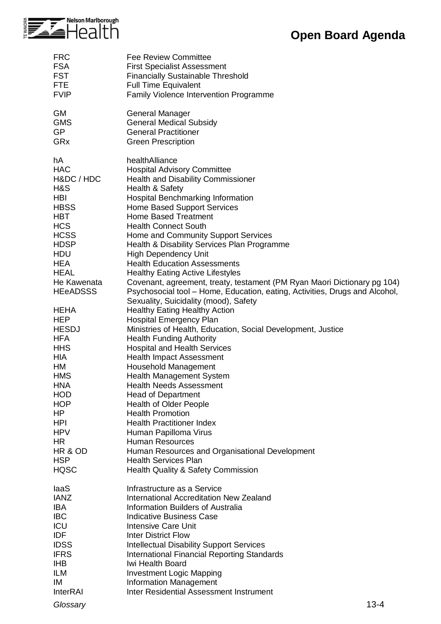

| <b>FRC</b>                                                                                                                                                                                                        | <b>Fee Review Committee</b>                                                                                                                                                                                                                                                                                                                                                                                                                                                                                                                                                                                                                                                                                      |
|-------------------------------------------------------------------------------------------------------------------------------------------------------------------------------------------------------------------|------------------------------------------------------------------------------------------------------------------------------------------------------------------------------------------------------------------------------------------------------------------------------------------------------------------------------------------------------------------------------------------------------------------------------------------------------------------------------------------------------------------------------------------------------------------------------------------------------------------------------------------------------------------------------------------------------------------|
| <b>FSA</b>                                                                                                                                                                                                        | <b>First Specialist Assessment</b>                                                                                                                                                                                                                                                                                                                                                                                                                                                                                                                                                                                                                                                                               |
| <b>FST</b>                                                                                                                                                                                                        | <b>Financially Sustainable Threshold</b>                                                                                                                                                                                                                                                                                                                                                                                                                                                                                                                                                                                                                                                                         |
| <b>FTE</b>                                                                                                                                                                                                        | <b>Full Time Equivalent</b>                                                                                                                                                                                                                                                                                                                                                                                                                                                                                                                                                                                                                                                                                      |
| <b>FVIP</b>                                                                                                                                                                                                       | Family Violence Intervention Programme                                                                                                                                                                                                                                                                                                                                                                                                                                                                                                                                                                                                                                                                           |
| <b>GM</b>                                                                                                                                                                                                         | <b>General Manager</b>                                                                                                                                                                                                                                                                                                                                                                                                                                                                                                                                                                                                                                                                                           |
| <b>GMS</b>                                                                                                                                                                                                        | <b>General Medical Subsidy</b>                                                                                                                                                                                                                                                                                                                                                                                                                                                                                                                                                                                                                                                                                   |
| <b>GP</b>                                                                                                                                                                                                         | <b>General Practitioner</b>                                                                                                                                                                                                                                                                                                                                                                                                                                                                                                                                                                                                                                                                                      |
| GRx                                                                                                                                                                                                               | <b>Green Prescription</b>                                                                                                                                                                                                                                                                                                                                                                                                                                                                                                                                                                                                                                                                                        |
| hA<br><b>HAC</b><br>H&DC / HDC<br>H&S<br><b>HBI</b><br><b>HBSS</b><br>HBT<br><b>HCS</b><br><b>HCSS</b><br><b>HDSP</b><br><b>HDU</b><br><b>HEA</b><br><b>HEAL</b><br>He Kawenata<br><b>HEeADSSS</b><br><b>HEHA</b> | healthAlliance<br><b>Hospital Advisory Committee</b><br><b>Health and Disability Commissioner</b><br>Health & Safety<br>Hospital Benchmarking Information<br><b>Home Based Support Services</b><br><b>Home Based Treatment</b><br><b>Health Connect South</b><br>Home and Community Support Services<br>Health & Disability Services Plan Programme<br><b>High Dependency Unit</b><br><b>Health Education Assessments</b><br><b>Healthy Eating Active Lifestyles</b><br>Covenant, agreement, treaty, testament (PM Ryan Maori Dictionary pg 104)<br>Psychosocial tool – Home, Education, eating, Activities, Drugs and Alcohol,<br>Sexuality, Suicidality (mood), Safety<br><b>Healthy Eating Healthy Action</b> |
| <b>HEP</b>                                                                                                                                                                                                        | <b>Hospital Emergency Plan</b>                                                                                                                                                                                                                                                                                                                                                                                                                                                                                                                                                                                                                                                                                   |
| <b>HESDJ</b>                                                                                                                                                                                                      | Ministries of Health, Education, Social Development, Justice                                                                                                                                                                                                                                                                                                                                                                                                                                                                                                                                                                                                                                                     |
| <b>HFA</b>                                                                                                                                                                                                        | <b>Health Funding Authority</b>                                                                                                                                                                                                                                                                                                                                                                                                                                                                                                                                                                                                                                                                                  |
| <b>HHS</b>                                                                                                                                                                                                        | <b>Hospital and Health Services</b>                                                                                                                                                                                                                                                                                                                                                                                                                                                                                                                                                                                                                                                                              |
| <b>HIA</b>                                                                                                                                                                                                        | <b>Health Impact Assessment</b>                                                                                                                                                                                                                                                                                                                                                                                                                                                                                                                                                                                                                                                                                  |
| HM                                                                                                                                                                                                                | <b>Household Management</b>                                                                                                                                                                                                                                                                                                                                                                                                                                                                                                                                                                                                                                                                                      |
| <b>HMS</b>                                                                                                                                                                                                        | <b>Health Management System</b>                                                                                                                                                                                                                                                                                                                                                                                                                                                                                                                                                                                                                                                                                  |
| HNA                                                                                                                                                                                                               | Health Needs Assessment                                                                                                                                                                                                                                                                                                                                                                                                                                                                                                                                                                                                                                                                                          |
| <b>HOD</b>                                                                                                                                                                                                        | <b>Head of Department</b>                                                                                                                                                                                                                                                                                                                                                                                                                                                                                                                                                                                                                                                                                        |
| <b>HOP</b>                                                                                                                                                                                                        | <b>Health of Older People</b>                                                                                                                                                                                                                                                                                                                                                                                                                                                                                                                                                                                                                                                                                    |
| HP.                                                                                                                                                                                                               | <b>Health Promotion</b>                                                                                                                                                                                                                                                                                                                                                                                                                                                                                                                                                                                                                                                                                          |
| HPI                                                                                                                                                                                                               | <b>Health Practitioner Index</b>                                                                                                                                                                                                                                                                                                                                                                                                                                                                                                                                                                                                                                                                                 |
| <b>HPV</b>                                                                                                                                                                                                        | Human Papilloma Virus                                                                                                                                                                                                                                                                                                                                                                                                                                                                                                                                                                                                                                                                                            |
| HR                                                                                                                                                                                                                | <b>Human Resources</b>                                                                                                                                                                                                                                                                                                                                                                                                                                                                                                                                                                                                                                                                                           |
| HR & OD                                                                                                                                                                                                           | Human Resources and Organisational Development                                                                                                                                                                                                                                                                                                                                                                                                                                                                                                                                                                                                                                                                   |
| <b>HSP</b>                                                                                                                                                                                                        | <b>Health Services Plan</b>                                                                                                                                                                                                                                                                                                                                                                                                                                                                                                                                                                                                                                                                                      |
| <b>HQSC</b>                                                                                                                                                                                                       | <b>Health Quality &amp; Safety Commission</b>                                                                                                                                                                                                                                                                                                                                                                                                                                                                                                                                                                                                                                                                    |
| laaS                                                                                                                                                                                                              | Infrastructure as a Service                                                                                                                                                                                                                                                                                                                                                                                                                                                                                                                                                                                                                                                                                      |
| <b>IANZ</b>                                                                                                                                                                                                       | International Accreditation New Zealand                                                                                                                                                                                                                                                                                                                                                                                                                                                                                                                                                                                                                                                                          |
| <b>IBA</b>                                                                                                                                                                                                        | Information Builders of Australia                                                                                                                                                                                                                                                                                                                                                                                                                                                                                                                                                                                                                                                                                |
| <b>IBC</b>                                                                                                                                                                                                        | <b>Indicative Business Case</b>                                                                                                                                                                                                                                                                                                                                                                                                                                                                                                                                                                                                                                                                                  |
| ICU                                                                                                                                                                                                               | <b>Intensive Care Unit</b>                                                                                                                                                                                                                                                                                                                                                                                                                                                                                                                                                                                                                                                                                       |
| <b>IDF</b>                                                                                                                                                                                                        | <b>Inter District Flow</b>                                                                                                                                                                                                                                                                                                                                                                                                                                                                                                                                                                                                                                                                                       |
| <b>IDSS</b>                                                                                                                                                                                                       | <b>Intellectual Disability Support Services</b>                                                                                                                                                                                                                                                                                                                                                                                                                                                                                                                                                                                                                                                                  |
| <b>IFRS</b>                                                                                                                                                                                                       | <b>International Financial Reporting Standards</b>                                                                                                                                                                                                                                                                                                                                                                                                                                                                                                                                                                                                                                                               |
| <b>IHB</b>                                                                                                                                                                                                        | Iwi Health Board                                                                                                                                                                                                                                                                                                                                                                                                                                                                                                                                                                                                                                                                                                 |
| ILM                                                                                                                                                                                                               | <b>Investment Logic Mapping</b>                                                                                                                                                                                                                                                                                                                                                                                                                                                                                                                                                                                                                                                                                  |
| IM                                                                                                                                                                                                                | <b>Information Management</b>                                                                                                                                                                                                                                                                                                                                                                                                                                                                                                                                                                                                                                                                                    |
| <b>InterRAI</b>                                                                                                                                                                                                   | Inter Residential Assessment Instrument                                                                                                                                                                                                                                                                                                                                                                                                                                                                                                                                                                                                                                                                          |
| Glossary                                                                                                                                                                                                          | $13 - 4$                                                                                                                                                                                                                                                                                                                                                                                                                                                                                                                                                                                                                                                                                                         |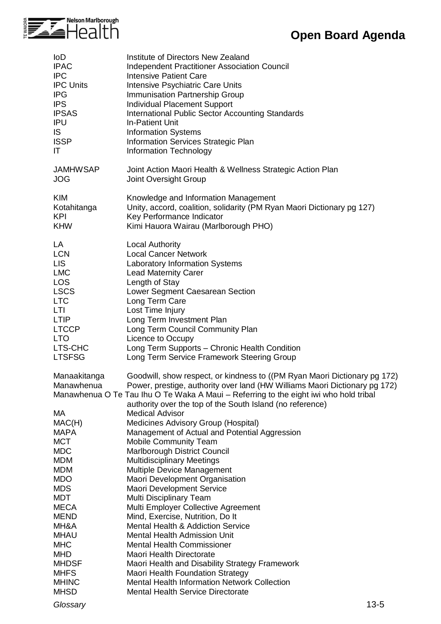

| <b>IoD</b>                                                                                                                                                                                                                                                                                                 | Institute of Directors New Zealand                                                                                                                                                                                                                                                                                                                                                                                                                                                                                                                                                                                                                                                                                                                                                                                                                                                                                                                                                                                                                                                                     |
|------------------------------------------------------------------------------------------------------------------------------------------------------------------------------------------------------------------------------------------------------------------------------------------------------------|--------------------------------------------------------------------------------------------------------------------------------------------------------------------------------------------------------------------------------------------------------------------------------------------------------------------------------------------------------------------------------------------------------------------------------------------------------------------------------------------------------------------------------------------------------------------------------------------------------------------------------------------------------------------------------------------------------------------------------------------------------------------------------------------------------------------------------------------------------------------------------------------------------------------------------------------------------------------------------------------------------------------------------------------------------------------------------------------------------|
| <b>IPAC</b>                                                                                                                                                                                                                                                                                                | <b>Independent Practitioner Association Council</b>                                                                                                                                                                                                                                                                                                                                                                                                                                                                                                                                                                                                                                                                                                                                                                                                                                                                                                                                                                                                                                                    |
| <b>IPC</b>                                                                                                                                                                                                                                                                                                 | <b>Intensive Patient Care</b>                                                                                                                                                                                                                                                                                                                                                                                                                                                                                                                                                                                                                                                                                                                                                                                                                                                                                                                                                                                                                                                                          |
| <b>IPC Units</b>                                                                                                                                                                                                                                                                                           | Intensive Psychiatric Care Units                                                                                                                                                                                                                                                                                                                                                                                                                                                                                                                                                                                                                                                                                                                                                                                                                                                                                                                                                                                                                                                                       |
| <b>IPG</b>                                                                                                                                                                                                                                                                                                 | Immunisation Partnership Group                                                                                                                                                                                                                                                                                                                                                                                                                                                                                                                                                                                                                                                                                                                                                                                                                                                                                                                                                                                                                                                                         |
| <b>IPS</b>                                                                                                                                                                                                                                                                                                 | Individual Placement Support                                                                                                                                                                                                                                                                                                                                                                                                                                                                                                                                                                                                                                                                                                                                                                                                                                                                                                                                                                                                                                                                           |
| <b>IPSAS</b>                                                                                                                                                                                                                                                                                               | <b>International Public Sector Accounting Standards</b>                                                                                                                                                                                                                                                                                                                                                                                                                                                                                                                                                                                                                                                                                                                                                                                                                                                                                                                                                                                                                                                |
| <b>IPU</b>                                                                                                                                                                                                                                                                                                 | <b>In-Patient Unit</b>                                                                                                                                                                                                                                                                                                                                                                                                                                                                                                                                                                                                                                                                                                                                                                                                                                                                                                                                                                                                                                                                                 |
| IS.                                                                                                                                                                                                                                                                                                        | <b>Information Systems</b>                                                                                                                                                                                                                                                                                                                                                                                                                                                                                                                                                                                                                                                                                                                                                                                                                                                                                                                                                                                                                                                                             |
| <b>ISSP</b>                                                                                                                                                                                                                                                                                                | Information Services Strategic Plan                                                                                                                                                                                                                                                                                                                                                                                                                                                                                                                                                                                                                                                                                                                                                                                                                                                                                                                                                                                                                                                                    |
| IT                                                                                                                                                                                                                                                                                                         | Information Technology                                                                                                                                                                                                                                                                                                                                                                                                                                                                                                                                                                                                                                                                                                                                                                                                                                                                                                                                                                                                                                                                                 |
| <b>JAMHWSAP</b>                                                                                                                                                                                                                                                                                            | Joint Action Maori Health & Wellness Strategic Action Plan                                                                                                                                                                                                                                                                                                                                                                                                                                                                                                                                                                                                                                                                                                                                                                                                                                                                                                                                                                                                                                             |
| <b>JOG</b>                                                                                                                                                                                                                                                                                                 | Joint Oversight Group                                                                                                                                                                                                                                                                                                                                                                                                                                                                                                                                                                                                                                                                                                                                                                                                                                                                                                                                                                                                                                                                                  |
| <b>KIM</b>                                                                                                                                                                                                                                                                                                 | Knowledge and Information Management                                                                                                                                                                                                                                                                                                                                                                                                                                                                                                                                                                                                                                                                                                                                                                                                                                                                                                                                                                                                                                                                   |
| Kotahitanga                                                                                                                                                                                                                                                                                                | Unity, accord, coalition, solidarity (PM Ryan Maori Dictionary pg 127)                                                                                                                                                                                                                                                                                                                                                                                                                                                                                                                                                                                                                                                                                                                                                                                                                                                                                                                                                                                                                                 |
| KPI                                                                                                                                                                                                                                                                                                        | Key Performance Indicator                                                                                                                                                                                                                                                                                                                                                                                                                                                                                                                                                                                                                                                                                                                                                                                                                                                                                                                                                                                                                                                                              |
| <b>KHW</b>                                                                                                                                                                                                                                                                                                 | Kimi Hauora Wairau (Marlborough PHO)                                                                                                                                                                                                                                                                                                                                                                                                                                                                                                                                                                                                                                                                                                                                                                                                                                                                                                                                                                                                                                                                   |
| LA                                                                                                                                                                                                                                                                                                         | <b>Local Authority</b>                                                                                                                                                                                                                                                                                                                                                                                                                                                                                                                                                                                                                                                                                                                                                                                                                                                                                                                                                                                                                                                                                 |
| <b>LCN</b>                                                                                                                                                                                                                                                                                                 | <b>Local Cancer Network</b>                                                                                                                                                                                                                                                                                                                                                                                                                                                                                                                                                                                                                                                                                                                                                                                                                                                                                                                                                                                                                                                                            |
| <b>LIS</b>                                                                                                                                                                                                                                                                                                 | <b>Laboratory Information Systems</b>                                                                                                                                                                                                                                                                                                                                                                                                                                                                                                                                                                                                                                                                                                                                                                                                                                                                                                                                                                                                                                                                  |
| <b>LMC</b>                                                                                                                                                                                                                                                                                                 | <b>Lead Maternity Carer</b>                                                                                                                                                                                                                                                                                                                                                                                                                                                                                                                                                                                                                                                                                                                                                                                                                                                                                                                                                                                                                                                                            |
| <b>LOS</b>                                                                                                                                                                                                                                                                                                 | Length of Stay                                                                                                                                                                                                                                                                                                                                                                                                                                                                                                                                                                                                                                                                                                                                                                                                                                                                                                                                                                                                                                                                                         |
| <b>LSCS</b>                                                                                                                                                                                                                                                                                                | Lower Segment Caesarean Section                                                                                                                                                                                                                                                                                                                                                                                                                                                                                                                                                                                                                                                                                                                                                                                                                                                                                                                                                                                                                                                                        |
| <b>LTC</b>                                                                                                                                                                                                                                                                                                 | Long Term Care                                                                                                                                                                                                                                                                                                                                                                                                                                                                                                                                                                                                                                                                                                                                                                                                                                                                                                                                                                                                                                                                                         |
| LTI                                                                                                                                                                                                                                                                                                        | Lost Time Injury                                                                                                                                                                                                                                                                                                                                                                                                                                                                                                                                                                                                                                                                                                                                                                                                                                                                                                                                                                                                                                                                                       |
| <b>LTIP</b>                                                                                                                                                                                                                                                                                                | Long Term Investment Plan                                                                                                                                                                                                                                                                                                                                                                                                                                                                                                                                                                                                                                                                                                                                                                                                                                                                                                                                                                                                                                                                              |
| <b>LTCCP</b>                                                                                                                                                                                                                                                                                               | Long Term Council Community Plan                                                                                                                                                                                                                                                                                                                                                                                                                                                                                                                                                                                                                                                                                                                                                                                                                                                                                                                                                                                                                                                                       |
| <b>LTO</b>                                                                                                                                                                                                                                                                                                 | Licence to Occupy                                                                                                                                                                                                                                                                                                                                                                                                                                                                                                                                                                                                                                                                                                                                                                                                                                                                                                                                                                                                                                                                                      |
| LTS-CHC                                                                                                                                                                                                                                                                                                    | Long Term Supports - Chronic Health Condition                                                                                                                                                                                                                                                                                                                                                                                                                                                                                                                                                                                                                                                                                                                                                                                                                                                                                                                                                                                                                                                          |
| <b>LTSFSG</b>                                                                                                                                                                                                                                                                                              | Long Term Service Framework Steering Group                                                                                                                                                                                                                                                                                                                                                                                                                                                                                                                                                                                                                                                                                                                                                                                                                                                                                                                                                                                                                                                             |
| Manaakitanga<br>Manawhenua<br>МA<br>MAC(H)<br><b>MAPA</b><br><b>MCT</b><br><b>MDC</b><br><b>MDM</b><br><b>MDM</b><br><b>MDO</b><br><b>MDS</b><br><b>MDT</b><br><b>MECA</b><br><b>MEND</b><br>MH&A<br><b>MHAU</b><br><b>MHC</b><br><b>MHD</b><br><b>MHDSF</b><br><b>MHFS</b><br><b>MHINC</b><br><b>MHSD</b> | Goodwill, show respect, or kindness to ((PM Ryan Maori Dictionary pg 172)<br>Power, prestige, authority over land (HW Williams Maori Dictionary pg 172)<br>Manawhenua O Te Tau Ihu O Te Waka A Maui – Referring to the eight iwi who hold tribal<br>authority over the top of the South Island (no reference)<br><b>Medical Advisor</b><br>Medicines Advisory Group (Hospital)<br>Management of Actual and Potential Aggression<br><b>Mobile Community Team</b><br>Marlborough District Council<br><b>Multidisciplinary Meetings</b><br>Multiple Device Management<br>Maori Development Organisation<br><b>Maori Development Service</b><br>Multi Disciplinary Team<br>Multi Employer Collective Agreement<br>Mind, Exercise, Nutrition, Do It<br><b>Mental Health &amp; Addiction Service</b><br><b>Mental Health Admission Unit</b><br><b>Mental Health Commissioner</b><br>Maori Health Directorate<br>Maori Health and Disability Strategy Framework<br><b>Maori Health Foundation Strategy</b><br><b>Mental Health Information Network Collection</b><br><b>Mental Health Service Directorate</b> |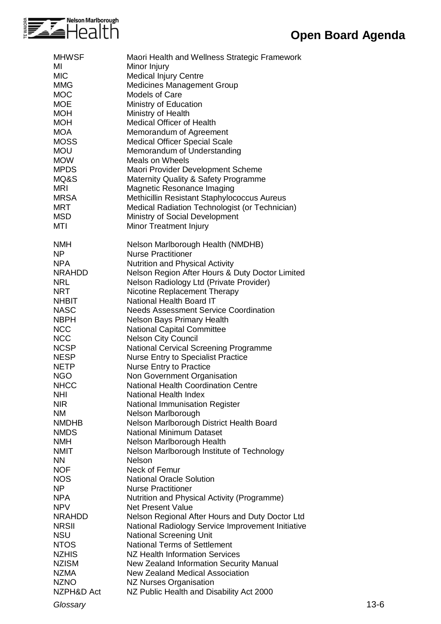

| MI<br>Minor Injury<br><b>MIC</b><br><b>Medical Injury Centre</b><br><b>MMG</b><br><b>Medicines Management Group</b><br><b>MOC</b><br><b>Models of Care</b><br><b>MOE</b><br>Ministry of Education<br><b>MOH</b><br>Ministry of Health<br><b>Medical Officer of Health</b><br><b>MOH</b><br><b>MOA</b><br>Memorandum of Agreement<br><b>MOSS</b><br><b>Medical Officer Special Scale</b><br>Memorandum of Understanding<br><b>MOU</b><br><b>MOW</b><br><b>Meals on Wheels</b><br><b>MPDS</b><br>Maori Provider Development Scheme<br>MQ&S<br>Maternity Quality & Safety Programme<br><b>MRI</b><br>Magnetic Resonance Imaging<br>Methicillin Resistant Staphylococcus Aureus<br><b>MRSA</b><br><b>MRT</b><br>Medical Radiation Technologist (or Technician)<br><b>MSD</b><br>Ministry of Social Development<br>MTI<br>Minor Treatment Injury<br><b>NMH</b><br>Nelson Marlborough Health (NMDHB)<br><b>NP</b><br><b>Nurse Practitioner</b><br><b>NPA</b><br><b>Nutrition and Physical Activity</b><br>NRAHDD<br>Nelson Region After Hours & Duty Doctor Limited<br>Nelson Radiology Ltd (Private Provider)<br><b>NRL</b><br><b>NRT</b><br>Nicotine Replacement Therapy<br><b>NHBIT</b><br>National Health Board IT<br><b>Needs Assessment Service Coordination</b><br><b>NASC</b><br><b>NBPH</b><br><b>Nelson Bays Primary Health</b><br><b>NCC</b><br><b>National Capital Committee</b><br><b>NCC</b><br><b>Nelson City Council</b><br><b>NCSP</b><br><b>National Cervical Screening Programme</b><br><b>NESP</b><br><b>Nurse Entry to Specialist Practice</b><br><b>NETP</b><br><b>Nurse Entry to Practice</b><br><b>NGO</b><br>Non Government Organisation<br><b>National Health Coordination Centre</b><br><b>NHCC</b><br>National Health Index<br><b>NHI</b><br><b>NIR</b><br><b>National Immunisation Register</b><br><b>NM</b><br>Nelson Marlborough<br><b>NMDHB</b><br>Nelson Marlborough District Health Board<br><b>NMDS</b><br><b>National Minimum Dataset</b><br>Nelson Marlborough Health<br><b>NMH</b><br><b>NMIT</b><br>Nelson Marlborough Institute of Technology<br><b>NN</b><br>Nelson<br><b>NOF</b><br>Neck of Femur<br><b>NOS</b><br><b>National Oracle Solution</b><br><b>NP</b><br><b>Nurse Practitioner</b><br><b>NPA</b><br>Nutrition and Physical Activity (Programme)<br><b>NPV</b><br><b>Net Present Value</b><br><b>NRAHDD</b><br>Nelson Regional After Hours and Duty Doctor Ltd<br>National Radiology Service Improvement Initiative<br><b>NRSII</b><br><b>National Screening Unit</b><br><b>NSU</b><br><b>NTOS</b><br><b>National Terms of Settlement</b><br><b>NZHIS</b><br><b>NZ Health Information Services</b><br><b>NZISM</b><br>New Zealand Information Security Manual<br><b>NZMA</b><br><b>New Zealand Medical Association</b><br><b>NZNO</b><br><b>NZ Nurses Organisation</b><br>NZPH&D Act<br>NZ Public Health and Disability Act 2000 | <b>MHWSF</b> | Maori Health and Wellness Strategic Framework |
|-------------------------------------------------------------------------------------------------------------------------------------------------------------------------------------------------------------------------------------------------------------------------------------------------------------------------------------------------------------------------------------------------------------------------------------------------------------------------------------------------------------------------------------------------------------------------------------------------------------------------------------------------------------------------------------------------------------------------------------------------------------------------------------------------------------------------------------------------------------------------------------------------------------------------------------------------------------------------------------------------------------------------------------------------------------------------------------------------------------------------------------------------------------------------------------------------------------------------------------------------------------------------------------------------------------------------------------------------------------------------------------------------------------------------------------------------------------------------------------------------------------------------------------------------------------------------------------------------------------------------------------------------------------------------------------------------------------------------------------------------------------------------------------------------------------------------------------------------------------------------------------------------------------------------------------------------------------------------------------------------------------------------------------------------------------------------------------------------------------------------------------------------------------------------------------------------------------------------------------------------------------------------------------------------------------------------------------------------------------------------------------------------------------------------------------------------------------------------------------------------------------------------------------------------------------------------------------------------------------------------------------------------------------------------------------------------------------------------------------------------------------------------------------------------------------------------------------------------------------------------------|--------------|-----------------------------------------------|
|                                                                                                                                                                                                                                                                                                                                                                                                                                                                                                                                                                                                                                                                                                                                                                                                                                                                                                                                                                                                                                                                                                                                                                                                                                                                                                                                                                                                                                                                                                                                                                                                                                                                                                                                                                                                                                                                                                                                                                                                                                                                                                                                                                                                                                                                                                                                                                                                                                                                                                                                                                                                                                                                                                                                                                                                                                                                               |              |                                               |
|                                                                                                                                                                                                                                                                                                                                                                                                                                                                                                                                                                                                                                                                                                                                                                                                                                                                                                                                                                                                                                                                                                                                                                                                                                                                                                                                                                                                                                                                                                                                                                                                                                                                                                                                                                                                                                                                                                                                                                                                                                                                                                                                                                                                                                                                                                                                                                                                                                                                                                                                                                                                                                                                                                                                                                                                                                                                               |              |                                               |
|                                                                                                                                                                                                                                                                                                                                                                                                                                                                                                                                                                                                                                                                                                                                                                                                                                                                                                                                                                                                                                                                                                                                                                                                                                                                                                                                                                                                                                                                                                                                                                                                                                                                                                                                                                                                                                                                                                                                                                                                                                                                                                                                                                                                                                                                                                                                                                                                                                                                                                                                                                                                                                                                                                                                                                                                                                                                               |              |                                               |
|                                                                                                                                                                                                                                                                                                                                                                                                                                                                                                                                                                                                                                                                                                                                                                                                                                                                                                                                                                                                                                                                                                                                                                                                                                                                                                                                                                                                                                                                                                                                                                                                                                                                                                                                                                                                                                                                                                                                                                                                                                                                                                                                                                                                                                                                                                                                                                                                                                                                                                                                                                                                                                                                                                                                                                                                                                                                               |              |                                               |
|                                                                                                                                                                                                                                                                                                                                                                                                                                                                                                                                                                                                                                                                                                                                                                                                                                                                                                                                                                                                                                                                                                                                                                                                                                                                                                                                                                                                                                                                                                                                                                                                                                                                                                                                                                                                                                                                                                                                                                                                                                                                                                                                                                                                                                                                                                                                                                                                                                                                                                                                                                                                                                                                                                                                                                                                                                                                               |              |                                               |
|                                                                                                                                                                                                                                                                                                                                                                                                                                                                                                                                                                                                                                                                                                                                                                                                                                                                                                                                                                                                                                                                                                                                                                                                                                                                                                                                                                                                                                                                                                                                                                                                                                                                                                                                                                                                                                                                                                                                                                                                                                                                                                                                                                                                                                                                                                                                                                                                                                                                                                                                                                                                                                                                                                                                                                                                                                                                               |              |                                               |
|                                                                                                                                                                                                                                                                                                                                                                                                                                                                                                                                                                                                                                                                                                                                                                                                                                                                                                                                                                                                                                                                                                                                                                                                                                                                                                                                                                                                                                                                                                                                                                                                                                                                                                                                                                                                                                                                                                                                                                                                                                                                                                                                                                                                                                                                                                                                                                                                                                                                                                                                                                                                                                                                                                                                                                                                                                                                               |              |                                               |
|                                                                                                                                                                                                                                                                                                                                                                                                                                                                                                                                                                                                                                                                                                                                                                                                                                                                                                                                                                                                                                                                                                                                                                                                                                                                                                                                                                                                                                                                                                                                                                                                                                                                                                                                                                                                                                                                                                                                                                                                                                                                                                                                                                                                                                                                                                                                                                                                                                                                                                                                                                                                                                                                                                                                                                                                                                                                               |              |                                               |
|                                                                                                                                                                                                                                                                                                                                                                                                                                                                                                                                                                                                                                                                                                                                                                                                                                                                                                                                                                                                                                                                                                                                                                                                                                                                                                                                                                                                                                                                                                                                                                                                                                                                                                                                                                                                                                                                                                                                                                                                                                                                                                                                                                                                                                                                                                                                                                                                                                                                                                                                                                                                                                                                                                                                                                                                                                                                               |              |                                               |
|                                                                                                                                                                                                                                                                                                                                                                                                                                                                                                                                                                                                                                                                                                                                                                                                                                                                                                                                                                                                                                                                                                                                                                                                                                                                                                                                                                                                                                                                                                                                                                                                                                                                                                                                                                                                                                                                                                                                                                                                                                                                                                                                                                                                                                                                                                                                                                                                                                                                                                                                                                                                                                                                                                                                                                                                                                                                               |              |                                               |
|                                                                                                                                                                                                                                                                                                                                                                                                                                                                                                                                                                                                                                                                                                                                                                                                                                                                                                                                                                                                                                                                                                                                                                                                                                                                                                                                                                                                                                                                                                                                                                                                                                                                                                                                                                                                                                                                                                                                                                                                                                                                                                                                                                                                                                                                                                                                                                                                                                                                                                                                                                                                                                                                                                                                                                                                                                                                               |              |                                               |
|                                                                                                                                                                                                                                                                                                                                                                                                                                                                                                                                                                                                                                                                                                                                                                                                                                                                                                                                                                                                                                                                                                                                                                                                                                                                                                                                                                                                                                                                                                                                                                                                                                                                                                                                                                                                                                                                                                                                                                                                                                                                                                                                                                                                                                                                                                                                                                                                                                                                                                                                                                                                                                                                                                                                                                                                                                                                               |              |                                               |
|                                                                                                                                                                                                                                                                                                                                                                                                                                                                                                                                                                                                                                                                                                                                                                                                                                                                                                                                                                                                                                                                                                                                                                                                                                                                                                                                                                                                                                                                                                                                                                                                                                                                                                                                                                                                                                                                                                                                                                                                                                                                                                                                                                                                                                                                                                                                                                                                                                                                                                                                                                                                                                                                                                                                                                                                                                                                               |              |                                               |
|                                                                                                                                                                                                                                                                                                                                                                                                                                                                                                                                                                                                                                                                                                                                                                                                                                                                                                                                                                                                                                                                                                                                                                                                                                                                                                                                                                                                                                                                                                                                                                                                                                                                                                                                                                                                                                                                                                                                                                                                                                                                                                                                                                                                                                                                                                                                                                                                                                                                                                                                                                                                                                                                                                                                                                                                                                                                               |              |                                               |
|                                                                                                                                                                                                                                                                                                                                                                                                                                                                                                                                                                                                                                                                                                                                                                                                                                                                                                                                                                                                                                                                                                                                                                                                                                                                                                                                                                                                                                                                                                                                                                                                                                                                                                                                                                                                                                                                                                                                                                                                                                                                                                                                                                                                                                                                                                                                                                                                                                                                                                                                                                                                                                                                                                                                                                                                                                                                               |              |                                               |
|                                                                                                                                                                                                                                                                                                                                                                                                                                                                                                                                                                                                                                                                                                                                                                                                                                                                                                                                                                                                                                                                                                                                                                                                                                                                                                                                                                                                                                                                                                                                                                                                                                                                                                                                                                                                                                                                                                                                                                                                                                                                                                                                                                                                                                                                                                                                                                                                                                                                                                                                                                                                                                                                                                                                                                                                                                                                               |              |                                               |
|                                                                                                                                                                                                                                                                                                                                                                                                                                                                                                                                                                                                                                                                                                                                                                                                                                                                                                                                                                                                                                                                                                                                                                                                                                                                                                                                                                                                                                                                                                                                                                                                                                                                                                                                                                                                                                                                                                                                                                                                                                                                                                                                                                                                                                                                                                                                                                                                                                                                                                                                                                                                                                                                                                                                                                                                                                                                               |              |                                               |
|                                                                                                                                                                                                                                                                                                                                                                                                                                                                                                                                                                                                                                                                                                                                                                                                                                                                                                                                                                                                                                                                                                                                                                                                                                                                                                                                                                                                                                                                                                                                                                                                                                                                                                                                                                                                                                                                                                                                                                                                                                                                                                                                                                                                                                                                                                                                                                                                                                                                                                                                                                                                                                                                                                                                                                                                                                                                               |              |                                               |
|                                                                                                                                                                                                                                                                                                                                                                                                                                                                                                                                                                                                                                                                                                                                                                                                                                                                                                                                                                                                                                                                                                                                                                                                                                                                                                                                                                                                                                                                                                                                                                                                                                                                                                                                                                                                                                                                                                                                                                                                                                                                                                                                                                                                                                                                                                                                                                                                                                                                                                                                                                                                                                                                                                                                                                                                                                                                               |              |                                               |
|                                                                                                                                                                                                                                                                                                                                                                                                                                                                                                                                                                                                                                                                                                                                                                                                                                                                                                                                                                                                                                                                                                                                                                                                                                                                                                                                                                                                                                                                                                                                                                                                                                                                                                                                                                                                                                                                                                                                                                                                                                                                                                                                                                                                                                                                                                                                                                                                                                                                                                                                                                                                                                                                                                                                                                                                                                                                               |              |                                               |
|                                                                                                                                                                                                                                                                                                                                                                                                                                                                                                                                                                                                                                                                                                                                                                                                                                                                                                                                                                                                                                                                                                                                                                                                                                                                                                                                                                                                                                                                                                                                                                                                                                                                                                                                                                                                                                                                                                                                                                                                                                                                                                                                                                                                                                                                                                                                                                                                                                                                                                                                                                                                                                                                                                                                                                                                                                                                               |              |                                               |
|                                                                                                                                                                                                                                                                                                                                                                                                                                                                                                                                                                                                                                                                                                                                                                                                                                                                                                                                                                                                                                                                                                                                                                                                                                                                                                                                                                                                                                                                                                                                                                                                                                                                                                                                                                                                                                                                                                                                                                                                                                                                                                                                                                                                                                                                                                                                                                                                                                                                                                                                                                                                                                                                                                                                                                                                                                                                               |              |                                               |
|                                                                                                                                                                                                                                                                                                                                                                                                                                                                                                                                                                                                                                                                                                                                                                                                                                                                                                                                                                                                                                                                                                                                                                                                                                                                                                                                                                                                                                                                                                                                                                                                                                                                                                                                                                                                                                                                                                                                                                                                                                                                                                                                                                                                                                                                                                                                                                                                                                                                                                                                                                                                                                                                                                                                                                                                                                                                               |              |                                               |
|                                                                                                                                                                                                                                                                                                                                                                                                                                                                                                                                                                                                                                                                                                                                                                                                                                                                                                                                                                                                                                                                                                                                                                                                                                                                                                                                                                                                                                                                                                                                                                                                                                                                                                                                                                                                                                                                                                                                                                                                                                                                                                                                                                                                                                                                                                                                                                                                                                                                                                                                                                                                                                                                                                                                                                                                                                                                               |              |                                               |
|                                                                                                                                                                                                                                                                                                                                                                                                                                                                                                                                                                                                                                                                                                                                                                                                                                                                                                                                                                                                                                                                                                                                                                                                                                                                                                                                                                                                                                                                                                                                                                                                                                                                                                                                                                                                                                                                                                                                                                                                                                                                                                                                                                                                                                                                                                                                                                                                                                                                                                                                                                                                                                                                                                                                                                                                                                                                               |              |                                               |
|                                                                                                                                                                                                                                                                                                                                                                                                                                                                                                                                                                                                                                                                                                                                                                                                                                                                                                                                                                                                                                                                                                                                                                                                                                                                                                                                                                                                                                                                                                                                                                                                                                                                                                                                                                                                                                                                                                                                                                                                                                                                                                                                                                                                                                                                                                                                                                                                                                                                                                                                                                                                                                                                                                                                                                                                                                                                               |              |                                               |
|                                                                                                                                                                                                                                                                                                                                                                                                                                                                                                                                                                                                                                                                                                                                                                                                                                                                                                                                                                                                                                                                                                                                                                                                                                                                                                                                                                                                                                                                                                                                                                                                                                                                                                                                                                                                                                                                                                                                                                                                                                                                                                                                                                                                                                                                                                                                                                                                                                                                                                                                                                                                                                                                                                                                                                                                                                                                               |              |                                               |
|                                                                                                                                                                                                                                                                                                                                                                                                                                                                                                                                                                                                                                                                                                                                                                                                                                                                                                                                                                                                                                                                                                                                                                                                                                                                                                                                                                                                                                                                                                                                                                                                                                                                                                                                                                                                                                                                                                                                                                                                                                                                                                                                                                                                                                                                                                                                                                                                                                                                                                                                                                                                                                                                                                                                                                                                                                                                               |              |                                               |
|                                                                                                                                                                                                                                                                                                                                                                                                                                                                                                                                                                                                                                                                                                                                                                                                                                                                                                                                                                                                                                                                                                                                                                                                                                                                                                                                                                                                                                                                                                                                                                                                                                                                                                                                                                                                                                                                                                                                                                                                                                                                                                                                                                                                                                                                                                                                                                                                                                                                                                                                                                                                                                                                                                                                                                                                                                                                               |              |                                               |
|                                                                                                                                                                                                                                                                                                                                                                                                                                                                                                                                                                                                                                                                                                                                                                                                                                                                                                                                                                                                                                                                                                                                                                                                                                                                                                                                                                                                                                                                                                                                                                                                                                                                                                                                                                                                                                                                                                                                                                                                                                                                                                                                                                                                                                                                                                                                                                                                                                                                                                                                                                                                                                                                                                                                                                                                                                                                               |              |                                               |
|                                                                                                                                                                                                                                                                                                                                                                                                                                                                                                                                                                                                                                                                                                                                                                                                                                                                                                                                                                                                                                                                                                                                                                                                                                                                                                                                                                                                                                                                                                                                                                                                                                                                                                                                                                                                                                                                                                                                                                                                                                                                                                                                                                                                                                                                                                                                                                                                                                                                                                                                                                                                                                                                                                                                                                                                                                                                               |              |                                               |
|                                                                                                                                                                                                                                                                                                                                                                                                                                                                                                                                                                                                                                                                                                                                                                                                                                                                                                                                                                                                                                                                                                                                                                                                                                                                                                                                                                                                                                                                                                                                                                                                                                                                                                                                                                                                                                                                                                                                                                                                                                                                                                                                                                                                                                                                                                                                                                                                                                                                                                                                                                                                                                                                                                                                                                                                                                                                               |              |                                               |
|                                                                                                                                                                                                                                                                                                                                                                                                                                                                                                                                                                                                                                                                                                                                                                                                                                                                                                                                                                                                                                                                                                                                                                                                                                                                                                                                                                                                                                                                                                                                                                                                                                                                                                                                                                                                                                                                                                                                                                                                                                                                                                                                                                                                                                                                                                                                                                                                                                                                                                                                                                                                                                                                                                                                                                                                                                                                               |              |                                               |
|                                                                                                                                                                                                                                                                                                                                                                                                                                                                                                                                                                                                                                                                                                                                                                                                                                                                                                                                                                                                                                                                                                                                                                                                                                                                                                                                                                                                                                                                                                                                                                                                                                                                                                                                                                                                                                                                                                                                                                                                                                                                                                                                                                                                                                                                                                                                                                                                                                                                                                                                                                                                                                                                                                                                                                                                                                                                               |              |                                               |
|                                                                                                                                                                                                                                                                                                                                                                                                                                                                                                                                                                                                                                                                                                                                                                                                                                                                                                                                                                                                                                                                                                                                                                                                                                                                                                                                                                                                                                                                                                                                                                                                                                                                                                                                                                                                                                                                                                                                                                                                                                                                                                                                                                                                                                                                                                                                                                                                                                                                                                                                                                                                                                                                                                                                                                                                                                                                               |              |                                               |
|                                                                                                                                                                                                                                                                                                                                                                                                                                                                                                                                                                                                                                                                                                                                                                                                                                                                                                                                                                                                                                                                                                                                                                                                                                                                                                                                                                                                                                                                                                                                                                                                                                                                                                                                                                                                                                                                                                                                                                                                                                                                                                                                                                                                                                                                                                                                                                                                                                                                                                                                                                                                                                                                                                                                                                                                                                                                               |              |                                               |
|                                                                                                                                                                                                                                                                                                                                                                                                                                                                                                                                                                                                                                                                                                                                                                                                                                                                                                                                                                                                                                                                                                                                                                                                                                                                                                                                                                                                                                                                                                                                                                                                                                                                                                                                                                                                                                                                                                                                                                                                                                                                                                                                                                                                                                                                                                                                                                                                                                                                                                                                                                                                                                                                                                                                                                                                                                                                               |              |                                               |
|                                                                                                                                                                                                                                                                                                                                                                                                                                                                                                                                                                                                                                                                                                                                                                                                                                                                                                                                                                                                                                                                                                                                                                                                                                                                                                                                                                                                                                                                                                                                                                                                                                                                                                                                                                                                                                                                                                                                                                                                                                                                                                                                                                                                                                                                                                                                                                                                                                                                                                                                                                                                                                                                                                                                                                                                                                                                               |              |                                               |
|                                                                                                                                                                                                                                                                                                                                                                                                                                                                                                                                                                                                                                                                                                                                                                                                                                                                                                                                                                                                                                                                                                                                                                                                                                                                                                                                                                                                                                                                                                                                                                                                                                                                                                                                                                                                                                                                                                                                                                                                                                                                                                                                                                                                                                                                                                                                                                                                                                                                                                                                                                                                                                                                                                                                                                                                                                                                               |              |                                               |
|                                                                                                                                                                                                                                                                                                                                                                                                                                                                                                                                                                                                                                                                                                                                                                                                                                                                                                                                                                                                                                                                                                                                                                                                                                                                                                                                                                                                                                                                                                                                                                                                                                                                                                                                                                                                                                                                                                                                                                                                                                                                                                                                                                                                                                                                                                                                                                                                                                                                                                                                                                                                                                                                                                                                                                                                                                                                               |              |                                               |
|                                                                                                                                                                                                                                                                                                                                                                                                                                                                                                                                                                                                                                                                                                                                                                                                                                                                                                                                                                                                                                                                                                                                                                                                                                                                                                                                                                                                                                                                                                                                                                                                                                                                                                                                                                                                                                                                                                                                                                                                                                                                                                                                                                                                                                                                                                                                                                                                                                                                                                                                                                                                                                                                                                                                                                                                                                                                               |              |                                               |
|                                                                                                                                                                                                                                                                                                                                                                                                                                                                                                                                                                                                                                                                                                                                                                                                                                                                                                                                                                                                                                                                                                                                                                                                                                                                                                                                                                                                                                                                                                                                                                                                                                                                                                                                                                                                                                                                                                                                                                                                                                                                                                                                                                                                                                                                                                                                                                                                                                                                                                                                                                                                                                                                                                                                                                                                                                                                               |              |                                               |
|                                                                                                                                                                                                                                                                                                                                                                                                                                                                                                                                                                                                                                                                                                                                                                                                                                                                                                                                                                                                                                                                                                                                                                                                                                                                                                                                                                                                                                                                                                                                                                                                                                                                                                                                                                                                                                                                                                                                                                                                                                                                                                                                                                                                                                                                                                                                                                                                                                                                                                                                                                                                                                                                                                                                                                                                                                                                               |              |                                               |
|                                                                                                                                                                                                                                                                                                                                                                                                                                                                                                                                                                                                                                                                                                                                                                                                                                                                                                                                                                                                                                                                                                                                                                                                                                                                                                                                                                                                                                                                                                                                                                                                                                                                                                                                                                                                                                                                                                                                                                                                                                                                                                                                                                                                                                                                                                                                                                                                                                                                                                                                                                                                                                                                                                                                                                                                                                                                               |              |                                               |
|                                                                                                                                                                                                                                                                                                                                                                                                                                                                                                                                                                                                                                                                                                                                                                                                                                                                                                                                                                                                                                                                                                                                                                                                                                                                                                                                                                                                                                                                                                                                                                                                                                                                                                                                                                                                                                                                                                                                                                                                                                                                                                                                                                                                                                                                                                                                                                                                                                                                                                                                                                                                                                                                                                                                                                                                                                                                               |              |                                               |
|                                                                                                                                                                                                                                                                                                                                                                                                                                                                                                                                                                                                                                                                                                                                                                                                                                                                                                                                                                                                                                                                                                                                                                                                                                                                                                                                                                                                                                                                                                                                                                                                                                                                                                                                                                                                                                                                                                                                                                                                                                                                                                                                                                                                                                                                                                                                                                                                                                                                                                                                                                                                                                                                                                                                                                                                                                                                               |              |                                               |
|                                                                                                                                                                                                                                                                                                                                                                                                                                                                                                                                                                                                                                                                                                                                                                                                                                                                                                                                                                                                                                                                                                                                                                                                                                                                                                                                                                                                                                                                                                                                                                                                                                                                                                                                                                                                                                                                                                                                                                                                                                                                                                                                                                                                                                                                                                                                                                                                                                                                                                                                                                                                                                                                                                                                                                                                                                                                               |              |                                               |
|                                                                                                                                                                                                                                                                                                                                                                                                                                                                                                                                                                                                                                                                                                                                                                                                                                                                                                                                                                                                                                                                                                                                                                                                                                                                                                                                                                                                                                                                                                                                                                                                                                                                                                                                                                                                                                                                                                                                                                                                                                                                                                                                                                                                                                                                                                                                                                                                                                                                                                                                                                                                                                                                                                                                                                                                                                                                               |              |                                               |
|                                                                                                                                                                                                                                                                                                                                                                                                                                                                                                                                                                                                                                                                                                                                                                                                                                                                                                                                                                                                                                                                                                                                                                                                                                                                                                                                                                                                                                                                                                                                                                                                                                                                                                                                                                                                                                                                                                                                                                                                                                                                                                                                                                                                                                                                                                                                                                                                                                                                                                                                                                                                                                                                                                                                                                                                                                                                               |              |                                               |
|                                                                                                                                                                                                                                                                                                                                                                                                                                                                                                                                                                                                                                                                                                                                                                                                                                                                                                                                                                                                                                                                                                                                                                                                                                                                                                                                                                                                                                                                                                                                                                                                                                                                                                                                                                                                                                                                                                                                                                                                                                                                                                                                                                                                                                                                                                                                                                                                                                                                                                                                                                                                                                                                                                                                                                                                                                                                               |              |                                               |
|                                                                                                                                                                                                                                                                                                                                                                                                                                                                                                                                                                                                                                                                                                                                                                                                                                                                                                                                                                                                                                                                                                                                                                                                                                                                                                                                                                                                                                                                                                                                                                                                                                                                                                                                                                                                                                                                                                                                                                                                                                                                                                                                                                                                                                                                                                                                                                                                                                                                                                                                                                                                                                                                                                                                                                                                                                                                               |              |                                               |
|                                                                                                                                                                                                                                                                                                                                                                                                                                                                                                                                                                                                                                                                                                                                                                                                                                                                                                                                                                                                                                                                                                                                                                                                                                                                                                                                                                                                                                                                                                                                                                                                                                                                                                                                                                                                                                                                                                                                                                                                                                                                                                                                                                                                                                                                                                                                                                                                                                                                                                                                                                                                                                                                                                                                                                                                                                                                               |              |                                               |
|                                                                                                                                                                                                                                                                                                                                                                                                                                                                                                                                                                                                                                                                                                                                                                                                                                                                                                                                                                                                                                                                                                                                                                                                                                                                                                                                                                                                                                                                                                                                                                                                                                                                                                                                                                                                                                                                                                                                                                                                                                                                                                                                                                                                                                                                                                                                                                                                                                                                                                                                                                                                                                                                                                                                                                                                                                                                               |              |                                               |
|                                                                                                                                                                                                                                                                                                                                                                                                                                                                                                                                                                                                                                                                                                                                                                                                                                                                                                                                                                                                                                                                                                                                                                                                                                                                                                                                                                                                                                                                                                                                                                                                                                                                                                                                                                                                                                                                                                                                                                                                                                                                                                                                                                                                                                                                                                                                                                                                                                                                                                                                                                                                                                                                                                                                                                                                                                                                               |              |                                               |
|                                                                                                                                                                                                                                                                                                                                                                                                                                                                                                                                                                                                                                                                                                                                                                                                                                                                                                                                                                                                                                                                                                                                                                                                                                                                                                                                                                                                                                                                                                                                                                                                                                                                                                                                                                                                                                                                                                                                                                                                                                                                                                                                                                                                                                                                                                                                                                                                                                                                                                                                                                                                                                                                                                                                                                                                                                                                               |              |                                               |
|                                                                                                                                                                                                                                                                                                                                                                                                                                                                                                                                                                                                                                                                                                                                                                                                                                                                                                                                                                                                                                                                                                                                                                                                                                                                                                                                                                                                                                                                                                                                                                                                                                                                                                                                                                                                                                                                                                                                                                                                                                                                                                                                                                                                                                                                                                                                                                                                                                                                                                                                                                                                                                                                                                                                                                                                                                                                               |              |                                               |
|                                                                                                                                                                                                                                                                                                                                                                                                                                                                                                                                                                                                                                                                                                                                                                                                                                                                                                                                                                                                                                                                                                                                                                                                                                                                                                                                                                                                                                                                                                                                                                                                                                                                                                                                                                                                                                                                                                                                                                                                                                                                                                                                                                                                                                                                                                                                                                                                                                                                                                                                                                                                                                                                                                                                                                                                                                                                               |              |                                               |
|                                                                                                                                                                                                                                                                                                                                                                                                                                                                                                                                                                                                                                                                                                                                                                                                                                                                                                                                                                                                                                                                                                                                                                                                                                                                                                                                                                                                                                                                                                                                                                                                                                                                                                                                                                                                                                                                                                                                                                                                                                                                                                                                                                                                                                                                                                                                                                                                                                                                                                                                                                                                                                                                                                                                                                                                                                                                               |              |                                               |
|                                                                                                                                                                                                                                                                                                                                                                                                                                                                                                                                                                                                                                                                                                                                                                                                                                                                                                                                                                                                                                                                                                                                                                                                                                                                                                                                                                                                                                                                                                                                                                                                                                                                                                                                                                                                                                                                                                                                                                                                                                                                                                                                                                                                                                                                                                                                                                                                                                                                                                                                                                                                                                                                                                                                                                                                                                                                               |              |                                               |
|                                                                                                                                                                                                                                                                                                                                                                                                                                                                                                                                                                                                                                                                                                                                                                                                                                                                                                                                                                                                                                                                                                                                                                                                                                                                                                                                                                                                                                                                                                                                                                                                                                                                                                                                                                                                                                                                                                                                                                                                                                                                                                                                                                                                                                                                                                                                                                                                                                                                                                                                                                                                                                                                                                                                                                                                                                                                               |              |                                               |
|                                                                                                                                                                                                                                                                                                                                                                                                                                                                                                                                                                                                                                                                                                                                                                                                                                                                                                                                                                                                                                                                                                                                                                                                                                                                                                                                                                                                                                                                                                                                                                                                                                                                                                                                                                                                                                                                                                                                                                                                                                                                                                                                                                                                                                                                                                                                                                                                                                                                                                                                                                                                                                                                                                                                                                                                                                                                               |              |                                               |
|                                                                                                                                                                                                                                                                                                                                                                                                                                                                                                                                                                                                                                                                                                                                                                                                                                                                                                                                                                                                                                                                                                                                                                                                                                                                                                                                                                                                                                                                                                                                                                                                                                                                                                                                                                                                                                                                                                                                                                                                                                                                                                                                                                                                                                                                                                                                                                                                                                                                                                                                                                                                                                                                                                                                                                                                                                                                               |              |                                               |
|                                                                                                                                                                                                                                                                                                                                                                                                                                                                                                                                                                                                                                                                                                                                                                                                                                                                                                                                                                                                                                                                                                                                                                                                                                                                                                                                                                                                                                                                                                                                                                                                                                                                                                                                                                                                                                                                                                                                                                                                                                                                                                                                                                                                                                                                                                                                                                                                                                                                                                                                                                                                                                                                                                                                                                                                                                                                               |              |                                               |

*Glossary* 13-6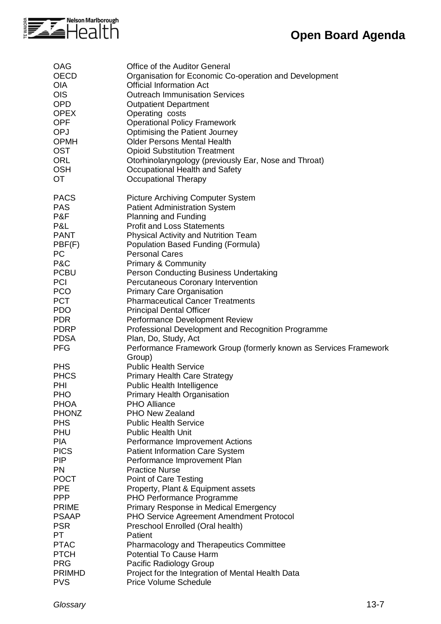

| OAG                                                                                                                                                                                                                                                                                                                                   | Office of the Auditor General                                                                                                                                                                                                                                                                                                                                                                                                                                                                                                                                                                                                                                                                                                                                                                                                             |
|---------------------------------------------------------------------------------------------------------------------------------------------------------------------------------------------------------------------------------------------------------------------------------------------------------------------------------------|-------------------------------------------------------------------------------------------------------------------------------------------------------------------------------------------------------------------------------------------------------------------------------------------------------------------------------------------------------------------------------------------------------------------------------------------------------------------------------------------------------------------------------------------------------------------------------------------------------------------------------------------------------------------------------------------------------------------------------------------------------------------------------------------------------------------------------------------|
| <b>OECD</b>                                                                                                                                                                                                                                                                                                                           | Organisation for Economic Co-operation and Development                                                                                                                                                                                                                                                                                                                                                                                                                                                                                                                                                                                                                                                                                                                                                                                    |
| <b>OIA</b>                                                                                                                                                                                                                                                                                                                            | <b>Official Information Act</b>                                                                                                                                                                                                                                                                                                                                                                                                                                                                                                                                                                                                                                                                                                                                                                                                           |
| <b>OIS</b>                                                                                                                                                                                                                                                                                                                            | <b>Outreach Immunisation Services</b>                                                                                                                                                                                                                                                                                                                                                                                                                                                                                                                                                                                                                                                                                                                                                                                                     |
| <b>OPD</b>                                                                                                                                                                                                                                                                                                                            | <b>Outpatient Department</b>                                                                                                                                                                                                                                                                                                                                                                                                                                                                                                                                                                                                                                                                                                                                                                                                              |
| <b>OPEX</b>                                                                                                                                                                                                                                                                                                                           | Operating costs                                                                                                                                                                                                                                                                                                                                                                                                                                                                                                                                                                                                                                                                                                                                                                                                                           |
| <b>OPF</b>                                                                                                                                                                                                                                                                                                                            | <b>Operational Policy Framework</b>                                                                                                                                                                                                                                                                                                                                                                                                                                                                                                                                                                                                                                                                                                                                                                                                       |
| OPJ                                                                                                                                                                                                                                                                                                                                   | <b>Optimising the Patient Journey</b>                                                                                                                                                                                                                                                                                                                                                                                                                                                                                                                                                                                                                                                                                                                                                                                                     |
| <b>OPMH</b>                                                                                                                                                                                                                                                                                                                           | <b>Older Persons Mental Health</b>                                                                                                                                                                                                                                                                                                                                                                                                                                                                                                                                                                                                                                                                                                                                                                                                        |
| <b>OST</b>                                                                                                                                                                                                                                                                                                                            | <b>Opioid Substitution Treatment</b>                                                                                                                                                                                                                                                                                                                                                                                                                                                                                                                                                                                                                                                                                                                                                                                                      |
| <b>ORL</b>                                                                                                                                                                                                                                                                                                                            | Otorhinolaryngology (previously Ear, Nose and Throat)                                                                                                                                                                                                                                                                                                                                                                                                                                                                                                                                                                                                                                                                                                                                                                                     |
| <b>OSH</b>                                                                                                                                                                                                                                                                                                                            | Occupational Health and Safety                                                                                                                                                                                                                                                                                                                                                                                                                                                                                                                                                                                                                                                                                                                                                                                                            |
| <b>OT</b>                                                                                                                                                                                                                                                                                                                             | <b>Occupational Therapy</b>                                                                                                                                                                                                                                                                                                                                                                                                                                                                                                                                                                                                                                                                                                                                                                                                               |
| <b>PACS</b>                                                                                                                                                                                                                                                                                                                           | <b>Picture Archiving Computer System</b>                                                                                                                                                                                                                                                                                                                                                                                                                                                                                                                                                                                                                                                                                                                                                                                                  |
| <b>PAS</b>                                                                                                                                                                                                                                                                                                                            | <b>Patient Administration System</b>                                                                                                                                                                                                                                                                                                                                                                                                                                                                                                                                                                                                                                                                                                                                                                                                      |
| P&F                                                                                                                                                                                                                                                                                                                                   | <b>Planning and Funding</b>                                                                                                                                                                                                                                                                                                                                                                                                                                                                                                                                                                                                                                                                                                                                                                                                               |
| P&L                                                                                                                                                                                                                                                                                                                                   | <b>Profit and Loss Statements</b>                                                                                                                                                                                                                                                                                                                                                                                                                                                                                                                                                                                                                                                                                                                                                                                                         |
| <b>PANT</b>                                                                                                                                                                                                                                                                                                                           | Physical Activity and Nutrition Team                                                                                                                                                                                                                                                                                                                                                                                                                                                                                                                                                                                                                                                                                                                                                                                                      |
| PBF(F)                                                                                                                                                                                                                                                                                                                                | Population Based Funding (Formula)                                                                                                                                                                                                                                                                                                                                                                                                                                                                                                                                                                                                                                                                                                                                                                                                        |
| PC                                                                                                                                                                                                                                                                                                                                    | <b>Personal Cares</b>                                                                                                                                                                                                                                                                                                                                                                                                                                                                                                                                                                                                                                                                                                                                                                                                                     |
| P&C                                                                                                                                                                                                                                                                                                                                   | <b>Primary &amp; Community</b>                                                                                                                                                                                                                                                                                                                                                                                                                                                                                                                                                                                                                                                                                                                                                                                                            |
| <b>PCBU</b>                                                                                                                                                                                                                                                                                                                           | Person Conducting Business Undertaking                                                                                                                                                                                                                                                                                                                                                                                                                                                                                                                                                                                                                                                                                                                                                                                                    |
| <b>PCI</b>                                                                                                                                                                                                                                                                                                                            | Percutaneous Coronary Intervention                                                                                                                                                                                                                                                                                                                                                                                                                                                                                                                                                                                                                                                                                                                                                                                                        |
| <b>PCO</b>                                                                                                                                                                                                                                                                                                                            | <b>Primary Care Organisation</b>                                                                                                                                                                                                                                                                                                                                                                                                                                                                                                                                                                                                                                                                                                                                                                                                          |
| <b>PCT</b>                                                                                                                                                                                                                                                                                                                            | <b>Pharmaceutical Cancer Treatments</b>                                                                                                                                                                                                                                                                                                                                                                                                                                                                                                                                                                                                                                                                                                                                                                                                   |
| <b>PDO</b>                                                                                                                                                                                                                                                                                                                            | <b>Principal Dental Officer</b>                                                                                                                                                                                                                                                                                                                                                                                                                                                                                                                                                                                                                                                                                                                                                                                                           |
| <b>PDR</b>                                                                                                                                                                                                                                                                                                                            | Performance Development Review                                                                                                                                                                                                                                                                                                                                                                                                                                                                                                                                                                                                                                                                                                                                                                                                            |
| <b>PDRP</b>                                                                                                                                                                                                                                                                                                                           | Professional Development and Recognition Programme                                                                                                                                                                                                                                                                                                                                                                                                                                                                                                                                                                                                                                                                                                                                                                                        |
| <b>PDSA</b>                                                                                                                                                                                                                                                                                                                           | Plan, Do, Study, Act                                                                                                                                                                                                                                                                                                                                                                                                                                                                                                                                                                                                                                                                                                                                                                                                                      |
| <b>PFG</b>                                                                                                                                                                                                                                                                                                                            | Performance Framework Group (formerly known as Services Framework                                                                                                                                                                                                                                                                                                                                                                                                                                                                                                                                                                                                                                                                                                                                                                         |
| <b>PHS</b><br><b>PHCS</b><br>PHI<br><b>PHO</b><br><b>PHOA</b><br><b>PHONZ</b><br><b>PHS</b><br>PHU<br><b>PIA</b><br><b>PICS</b><br><b>PIP</b><br><b>PN</b><br><b>POCT</b><br><b>PPE</b><br><b>PPP</b><br><b>PRIME</b><br><b>PSAAP</b><br><b>PSR</b><br>PT.<br><b>PTAC</b><br><b>PTCH</b><br><b>PRG</b><br><b>PRIMHD</b><br><b>PVS</b> | Group)<br><b>Public Health Service</b><br>Primary Health Care Strategy<br><b>Public Health Intelligence</b><br><b>Primary Health Organisation</b><br><b>PHO Alliance</b><br><b>PHO New Zealand</b><br><b>Public Health Service</b><br><b>Public Health Unit</b><br>Performance Improvement Actions<br><b>Patient Information Care System</b><br>Performance Improvement Plan<br><b>Practice Nurse</b><br>Point of Care Testing<br>Property, Plant & Equipment assets<br>PHO Performance Programme<br>Primary Response in Medical Emergency<br>PHO Service Agreement Amendment Protocol<br>Preschool Enrolled (Oral health)<br>Patient<br><b>Pharmacology and Therapeutics Committee</b><br><b>Potential To Cause Harm</b><br>Pacific Radiology Group<br>Project for the Integration of Mental Health Data<br><b>Price Volume Schedule</b> |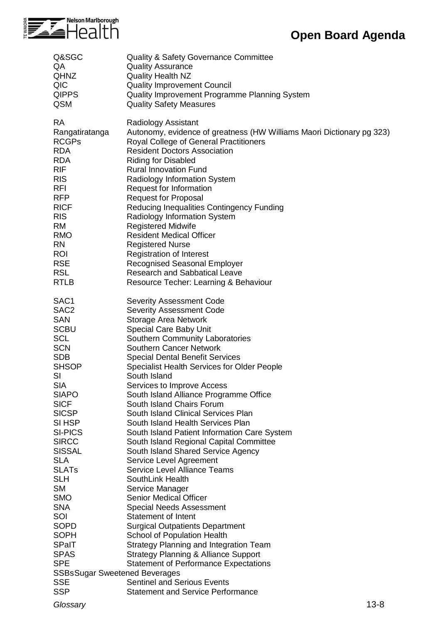

| Q&SGC<br>QA<br><b>QHNZ</b><br>QIC<br><b>QIPPS</b><br>QSM                                                                                                                                                                                                                                                                                                                                                                    | <b>Quality &amp; Safety Governance Committee</b><br><b>Quality Assurance</b><br><b>Quality Health NZ</b><br><b>Quality Improvement Council</b><br>Quality Improvement Programme Planning System<br><b>Quality Safety Measures</b>                                                                                                                                                                                                                                                                                                                                                                                                                                                                                                                                                                                                                                                                                                                                                                                                                            |  |
|-----------------------------------------------------------------------------------------------------------------------------------------------------------------------------------------------------------------------------------------------------------------------------------------------------------------------------------------------------------------------------------------------------------------------------|--------------------------------------------------------------------------------------------------------------------------------------------------------------------------------------------------------------------------------------------------------------------------------------------------------------------------------------------------------------------------------------------------------------------------------------------------------------------------------------------------------------------------------------------------------------------------------------------------------------------------------------------------------------------------------------------------------------------------------------------------------------------------------------------------------------------------------------------------------------------------------------------------------------------------------------------------------------------------------------------------------------------------------------------------------------|--|
| <b>RA</b><br>Rangatiratanga<br><b>RCGPs</b><br><b>RDA</b><br><b>RDA</b><br><b>RIF</b><br><b>RIS</b><br><b>RFI</b><br><b>RFP</b><br><b>RICF</b><br><b>RIS</b><br><b>RM</b><br><b>RMO</b><br><b>RN</b><br><b>ROI</b><br><b>RSE</b><br><b>RSL</b><br><b>RTLB</b>                                                                                                                                                               | Radiology Assistant<br>Autonomy, evidence of greatness (HW Williams Maori Dictionary pg 323)<br>Royal College of General Practitioners<br><b>Resident Doctors Association</b><br><b>Riding for Disabled</b><br><b>Rural Innovation Fund</b><br><b>Radiology Information System</b><br>Request for Information<br><b>Request for Proposal</b><br>Reducing Inequalities Contingency Funding<br>Radiology Information System<br><b>Registered Midwife</b><br><b>Resident Medical Officer</b><br><b>Registered Nurse</b><br><b>Registration of Interest</b><br><b>Recognised Seasonal Employer</b><br><b>Research and Sabbatical Leave</b><br>Resource Techer: Learning & Behaviour                                                                                                                                                                                                                                                                                                                                                                              |  |
| SAC <sub>1</sub><br>SAC <sub>2</sub><br><b>SAN</b><br><b>SCBU</b><br><b>SCL</b><br><b>SCN</b><br><b>SDB</b><br><b>SHSOP</b><br>SI<br><b>SIA</b><br><b>SIAPO</b><br><b>SICF</b><br><b>SICSP</b><br>SI HSP<br><b>SI-PICS</b><br><b>SIRCC</b><br><b>SISSAL</b><br><b>SLA</b><br><b>SLATs</b><br><b>SLH</b><br><b>SM</b><br><b>SMO</b><br><b>SNA</b><br>SOI<br><b>SOPD</b><br><b>SOPH</b><br>SPaIT<br><b>SPAS</b><br><b>SPE</b> | <b>Severity Assessment Code</b><br><b>Severity Assessment Code</b><br>Storage Area Network<br>Special Care Baby Unit<br>Southern Community Laboratories<br><b>Southern Cancer Network</b><br><b>Special Dental Benefit Services</b><br><b>Specialist Health Services for Older People</b><br>South Island<br>Services to Improve Access<br>South Island Alliance Programme Office<br>South Island Chairs Forum<br>South Island Clinical Services Plan<br>South Island Health Services Plan<br>South Island Patient Information Care System<br>South Island Regional Capital Committee<br>South Island Shared Service Agency<br>Service Level Agreement<br>Service Level Alliance Teams<br>SouthLink Health<br>Service Manager<br><b>Senior Medical Officer</b><br><b>Special Needs Assessment</b><br><b>Statement of Intent</b><br><b>Surgical Outpatients Department</b><br><b>School of Population Health</b><br>Strategy Planning and Integration Team<br><b>Strategy Planning &amp; Alliance Support</b><br><b>Statement of Performance Expectations</b> |  |
| <b>SSBsSugar Sweetened Beverages</b><br><b>SSE</b><br><b>SSP</b>                                                                                                                                                                                                                                                                                                                                                            | <b>Sentinel and Serious Events</b><br><b>Statement and Service Performance</b>                                                                                                                                                                                                                                                                                                                                                                                                                                                                                                                                                                                                                                                                                                                                                                                                                                                                                                                                                                               |  |
| Glossary                                                                                                                                                                                                                                                                                                                                                                                                                    | $13 - 8$                                                                                                                                                                                                                                                                                                                                                                                                                                                                                                                                                                                                                                                                                                                                                                                                                                                                                                                                                                                                                                                     |  |